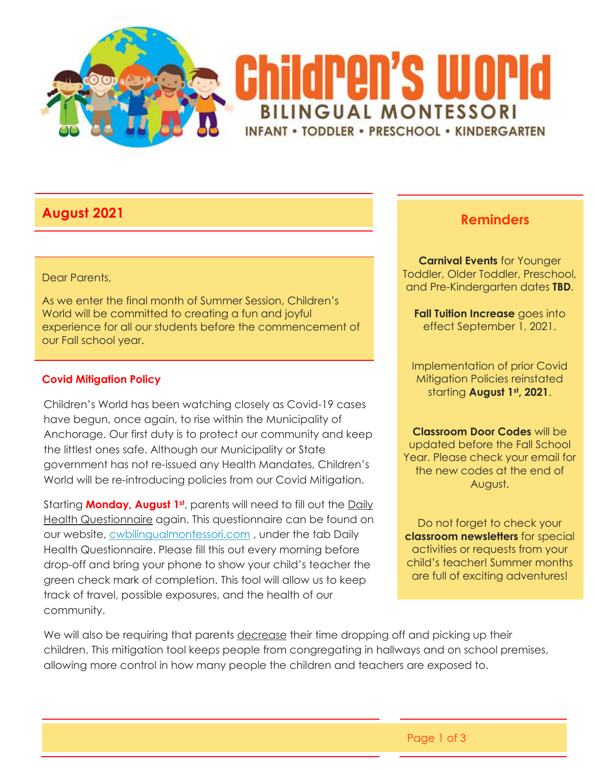

# **August 2021 Reminders**

#### Dear Parents,

As we enter the final month of Summer Session, Children's World will be committed to creating a fun and joyful experience for all our students before the commencement of our Fall school year.

#### **Covid Mitigation Policy**

Children's World has been watching closely as Covid-19 cases have begun, once again, to rise within the Municipality of Anchorage. Our first duty is to protect our community and keep the littlest ones safe. Although our Municipality or State government has not re-issued any Health Mandates, Children's World will be re-introducing policies from our Covid Mitigation.

Starting **Monday, August 1st**, parents will need to fill out the Daily Health Questionnaire again. This questionnaire can be found on our website, [cwbilingualmontessori.com](http://cwbilingualmontessori.com/) , under the tab Daily Health Questionnaire. Please fill this out every morning before drop-off and bring your phone to show your child's teacher the green check mark of completion. This tool will allow us to keep track of travel, possible exposures, and the health of our community.

**Carnival Events** for Younger Toddler, Older Toddler, Preschool, and Pre-Kindergarten dates **TBD**.

**Fall Tuition Increase** goes into effect September 1, 2021.

Implementation of prior Covid Mitigation Policies reinstated starting **August 1st, 2021**.

**Classroom Door Codes** will be updated before the Fall School Year. Please check your email for the new codes at the end of August.

Do not forget to check your **classroom newsletters** for special activities or requests from your child's teacher! Summer months are full of exciting adventures!

We will also be requiring that parents decrease their time dropping off and picking up their children. This mitigation tool keeps people from congregating in hallways and on school premises, allowing more control in how many people the children and teachers are exposed to.

Page 1 of 3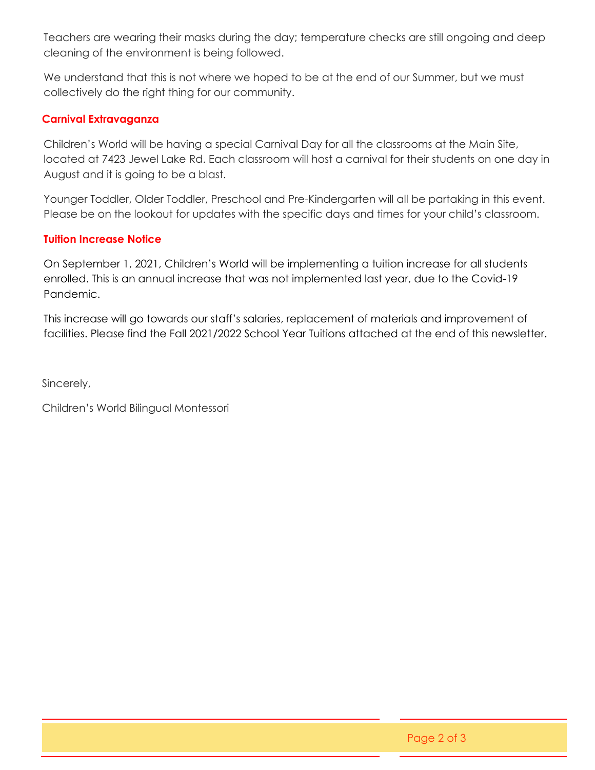Teachers are wearing their masks during the day; temperature checks are still ongoing and deep cleaning of the environment is being followed.

We understand that this is not where we hoped to be at the end of our Summer, but we must collectively do the right thing for our community.

#### **Carnival Extravaganza**

Children's World will be having a special Carnival Day for all the classrooms at the Main Site, located at 7423 Jewel Lake Rd. Each classroom will host a carnival for their students on one day in August and it is going to be a blast.

Younger Toddler, Older Toddler, Preschool and Pre-Kindergarten will all be partaking in this event. Please be on the lookout for updates with the specific days and times for your child's classroom.

### **Tuition Increase Notice**

On September 1, 2021, Children's World will be implementing a tuition increase for all students enrolled. This is an annual increase that was not implemented last year, due to the Covid-19 Pandemic.

This increase will go towards our staff's salaries, replacement of materials and improvement of facilities. Please find the Fall 2021/2022 School Year Tuitions attached at the end of this newsletter.

Sincerely,

Children's World Bilingual Montessori

Page 2 of 3